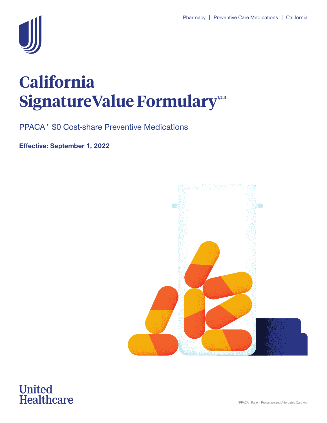

## **California**  SignatureValue Formulary<sup>12,3</sup>

PPACA\* \$0 Cost-share Preventive Medications

**Effective: September 1, 2022** 



# **United<br>Healthcare**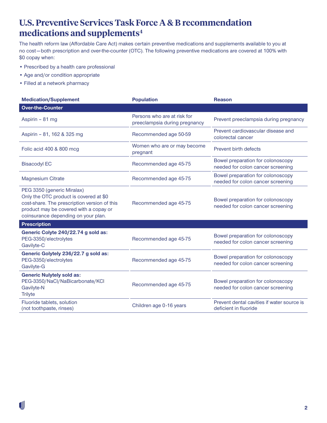#### **U.S. Preventive Services Task Force A & B recommendation medications and supplements4**

The health reform law (Affordable Care Act) makes certain preventive medications and supplements available to you at no cost — both prescription and over-the-counter (OTC). The following preventive medications are covered at 100% with \$0 copay when:

- Prescribed by a health care professional
- Age and/or condition appropriate
- Filled at a network pharmacy

| <b>Medication/Supplement</b>                                                                                                                                                                          | <b>Population</b>                                            | <b>Reason</b>                                                          |
|-------------------------------------------------------------------------------------------------------------------------------------------------------------------------------------------------------|--------------------------------------------------------------|------------------------------------------------------------------------|
| <b>Over-the-Counter</b>                                                                                                                                                                               |                                                              |                                                                        |
| Aspirin - 81 mg                                                                                                                                                                                       | Persons who are at risk for<br>preeclampsia during pregnancy | Prevent preeclampsia during pregnancy                                  |
| Aspirin - 81, 162 & 325 mg                                                                                                                                                                            | Recommended age 50-59                                        | Prevent cardiovascular disease and<br>colorectal cancer                |
| Folic acid 400 & 800 mcg                                                                                                                                                                              | Women who are or may become<br>pregnant                      | Prevent birth defects                                                  |
| <b>Bisacodyl EC</b>                                                                                                                                                                                   | Recommended age 45-75                                        | Bowel preparation for colonoscopy<br>needed for colon cancer screening |
| <b>Magnesium Citrate</b>                                                                                                                                                                              | Recommended age 45-75                                        | Bowel preparation for colonoscopy<br>needed for colon cancer screening |
| PEG 3350 (generic Miralax)<br>Only the OTC product is covered at \$0<br>cost-share. The prescription version of this<br>product may be covered with a copay or<br>coinsurance depending on your plan. | Recommended age 45-75                                        | Bowel preparation for colonoscopy<br>needed for colon cancer screening |
| <b>Prescription</b>                                                                                                                                                                                   |                                                              |                                                                        |
| Generic Colyte 240/22.74 g sold as:<br>PEG-3350/electrolytes<br>Gavilyte-C                                                                                                                            | Recommended age 45-75                                        | Bowel preparation for colonoscopy<br>needed for colon cancer screening |
| Generic Golytely 236/22.7 g sold as:<br>PEG-3350/electrolytes<br>Gavilyte-G                                                                                                                           | Recommended age 45-75                                        | Bowel preparation for colonoscopy<br>needed for colon cancer screening |
| <b>Generic Nulytely sold as:</b><br>PEG-3350/NaCl/NaBicarbonate/KCl<br>Gavilyte-N<br><b>Trilyte</b>                                                                                                   | Recommended age 45-75                                        | Bowel preparation for colonoscopy<br>needed for colon cancer screening |
| Fluoride tablets, solution<br>(not toothpaste, rinses)                                                                                                                                                | Children age 0-16 years                                      | Prevent dental cavities if water source is<br>deficient in fluoride    |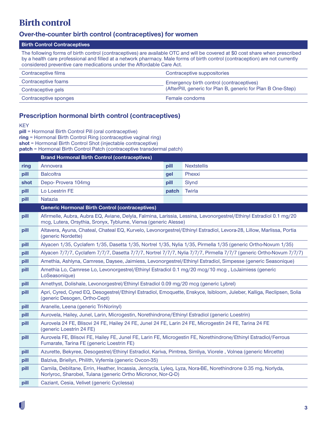#### **Birth control**

#### **Over-the-counter birth control (contraceptives) for women**

#### **Birth Control Contraceptives**

The following forms of birth control (contraceptives) are available OTC and will be covered at \$0 cost share when prescribed by a health care professional and filled at a network pharmacy. Male forms of birth control (contraception) are not currently considered preventive care medications under the Affordable Care Act.

| Contraceptive films   | Contraceptive suppositories                                  |
|-----------------------|--------------------------------------------------------------|
| Contraceptive foams   | Emergency birth control (contraceptives)                     |
| Contraceptive gels    | (AfterPill, generic for Plan B, generic for Plan B One-Step) |
| Contraceptive sponges | Female condoms                                               |

#### **Prescription hormonal birth control (contraceptives)**

**KEY** 

**pill** = Hormonal Birth Control Pill (oral contraceptive)

**ring** = Hormonal Birth Control Ring (contraceptive vaginal ring)

**shot** = Hormonal Birth Control Shot (injectable contraceptive)

**patch** = Hormonal Birth Control Patch (contraceptive transdermal patch)

|      | <b>Brand Hormonal Birth Control (contraceptives)</b>                                                                                                                                  |       |                    |
|------|---------------------------------------------------------------------------------------------------------------------------------------------------------------------------------------|-------|--------------------|
| ring | Annovera                                                                                                                                                                              | pill  | <b>Nextstellis</b> |
| pill | <b>Balcoltra</b>                                                                                                                                                                      | gel   | Phexxi             |
| shot | Depo-Provera 104mg                                                                                                                                                                    | pill  | Slynd              |
| pill | Lo Loestrin FE                                                                                                                                                                        | patch | Twirla             |
| pill | <b>Natazia</b>                                                                                                                                                                        |       |                    |
|      | <b>Generic Hormonal Birth Control (contraceptives)</b>                                                                                                                                |       |                    |
| pill | Afirmelle, Aubra, Aubra EQ, Aviane, Delyla, Falmina, Larissia, Lessina, Levonorgestrel/Ethinyl Estradiol 0.1 mg/20<br>mcg, Lutera, Orsythia, Sronyx, Tyblume, Vienva (generic Alesse) |       |                    |
| pill | Altavera, Ayuna, Chateal, Chateal EQ, Kurvelo, Levonorgestrel/Ethinyl Estradiol, Levora-28, Lillow, Marlissa, Portia<br>(generic Nordette)                                            |       |                    |
| pill | Alyacen 1/35, Cyclafem 1/35, Dasetta 1/35, Nortrel 1/35, Nylia 1/35, Pirmella 1/35 (generic Ortho-Novum 1/35)                                                                         |       |                    |
| pill | Alyacen 7/7/7, Cyclafem 7/7/7, Dasetta 7/7/7, Nortrel 7/7/7, Nylia 7/7/7, Pirmella 7/7/7 (generic Ortho-Novum 7/7/7)                                                                  |       |                    |
| pill | Amethia, Ashlyna, Camrese, Daysee, Jaimiess, Levonorgestrel/Ethinyl Estradiol, Simpesse (generic Seasonique)                                                                          |       |                    |
| pill | Amethia Lo, Camrese Lo, Levonorgestrel/Ethinyl Estradiol 0.1 mg/20 mcg/10 mcg, LoJaimiess (generic<br>LoSeasonique)                                                                   |       |                    |
| pill | Amethyst, Dolishale, Levonorgestrel/Ethinyl Estradiol 0.09 mg/20 mcg (generic Lybrel)                                                                                                 |       |                    |
| pill | Apri, Cyred, Cyred EQ, Desogestrel/Ethinyl Estradiol, Emoquette, Enskyce, Isibloom, Juleber, Kalliga, Reclipsen, Solia<br>(generic Desogen, Ortho-Cept)                               |       |                    |
| pill | Aranelle, Leena (generic Tri-Norinyl)                                                                                                                                                 |       |                    |
| pill | Aurovela, Hailey, Junel, Larin, Microgestin, Norethindrone/Ethinyl Estradiol (generic Loestrin)                                                                                       |       |                    |
| pill | Aurovela 24 FE, Blisovi 24 FE, Hailey 24 FE, Junel 24 FE, Larin 24 FE, Microgestin 24 FE, Tarina 24 FE<br>(generic Loestrin 24 FE)                                                    |       |                    |
| pill | Aurovela FE, Blisovi FE, Hailey FE, Junel FE, Larin FE, Microgestin FE, Norethindrone/Ethinyl Estradiol/Ferrous<br>Fumarate, Tarina FE (generic Loestrin FE)                          |       |                    |
| pill | Azurette, Bekyree, Desogestrel/Ethinyl Estradiol, Kariva, Pimtrea, Simliya, Viorele, Volnea (generic Mircette)                                                                        |       |                    |
| pill | Balziva, Briellyn, Philith, Vyfemla (generic Ovcon-35)                                                                                                                                |       |                    |
| pill | Camila, Deblitane, Errin, Heather, Incassia, Jencycla, Lyleq, Lyza, Nora-BE, Norethindrone 0.35 mg, Norlyda,<br>Norlyroc, Sharobel, Tulana (generic Ortho Micronor, Nor-Q-D)          |       |                    |
| pill | Caziant, Cesia, Velivet (generic Cyclessa)                                                                                                                                            |       |                    |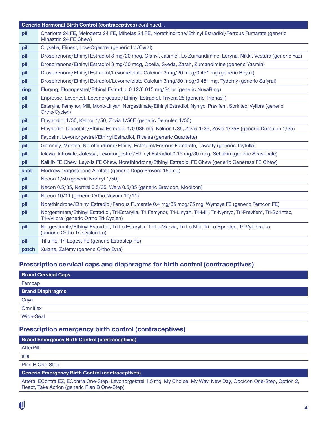|       | Generic Hormonal Birth Control (contraceptives) continued                                                                                                          |  |
|-------|--------------------------------------------------------------------------------------------------------------------------------------------------------------------|--|
| pill  | Charlotte 24 FE, Melodetta 24 FE, Mibelas 24 FE, Norethindrone/Ethinyl Estradiol/Ferrous Fumarate (generic<br>Minastrin 24 FE Chew)                                |  |
| pill  | Cryselle, Elinest, Low-Ogestrel (generic Lo/Ovral)                                                                                                                 |  |
| pill  | Drospirenone/Ethinyl Estradiol 3 mg/20 mcg, Gianvi, Jasmiel, Lo-Zumandimine, Loryna, Nikki, Vestura (generic Yaz)                                                  |  |
| pill  | Drospirenone/Ethinyl Estradiol 3 mg/30 mcg, Ocella, Syeda, Zarah, Zumandimine (generic Yasmin)                                                                     |  |
| pill  | Drospirenone/Ethinyl Estradiol/Levomefolate Calcium 3 mg/20 mcg/0.451 mg (generic Beyaz)                                                                           |  |
| pill  | Drospirenone/Ethinyl Estradiol/Levomefolate Calcium 3 mg/30 mcg/0.451 mg, Tydemy (generic Safyral)                                                                 |  |
| ring  | Eluryng, Etonogestrel/Ethinyl Estradiol 0.12/0.015 mg/24 hr (generic NuvaRing)                                                                                     |  |
| pill  | Enpresse, Levonest, Levonorgestrel/Ethinyl Estradiol, Trivora-28 (generic Triphasil)                                                                               |  |
| pill  | Estarylla, Femynor, Mili, Mono-Linyah, Norgestimate/Ethinyl Estradiol, Nymyo, Previfem, Sprintec, Vylibra (generic<br>Ortho-Cyclen)                                |  |
| pill  | Ethynodiol 1/50, Kelnor 1/50, Zovia 1/50E (generic Demulen 1/50)                                                                                                   |  |
| pill  | Ethynodiol Diacetate/Ethinyl Estradiol 1/0.035 mg, Kelnor 1/35, Zovia 1/35, Zovia 1/35E (generic Demulen 1/35)                                                     |  |
| pill  | Fayosim, Levonorgestrel/Ethinyl Estradiol, Rivelsa (generic Quartette)                                                                                             |  |
| pill  | Gemmily, Merzee, Norethindrone/Ethinyl Estradiol/Ferrous Fumarate, Taysofy (generic Taytulla)                                                                      |  |
| pill  | Iclevia, Introvale, Jolessa, Levonorgestrel/Ethinyl Estradiol 0.15 mg/30 mcg, Setlakin (generic Seasonale)                                                         |  |
| pill  | Kaitlib FE Chew, Layolis FE Chew, Norethindrone/Ethinyl Estradiol FE Chew (generic Generess FE Chew)                                                               |  |
| shot  | Medroxyprogesterone Acetate (generic Depo-Provera 150mg)                                                                                                           |  |
| pill  | Necon 1/50 (generic Norinyl 1/50)                                                                                                                                  |  |
| pill  | Necon 0.5/35, Nortrel 0.5/35, Wera 0.5/35 (generic Brevicon, Modicon)                                                                                              |  |
| pill  | Necon 10/11 (generic Ortho-Novum 10/11)                                                                                                                            |  |
| pill  | Norethindrone/Ethinyl Estradiol/Ferrous Fumarate 0.4 mg/35 mcg/75 mg, Wymzya FE (generic Femcon FE)                                                                |  |
| pill  | Norgestimate/Ethinyl Estradiol, Tri-Estarylla, Tri Femynor, Tri-Linyah, Tri-Mili, Tri-Nymyo, Tri-Previfem, Tri-Sprintec,<br>Tri-Vylibra (generic Ortho Tri-Cyclen) |  |
| pill  | Norgestimate/Ethinyl Estradiol, Tri-Lo-Estarylla, Tri-Lo-Marzia, Tri-Lo-Mili, Tri-Lo-Sprintec, Tri-VyLibra Lo<br>(generic Ortho Tri-Cyclen Lo)                     |  |
| pill  | Tilia FE, Tri-Legest FE (generic Estrostep FE)                                                                                                                     |  |
| patch | Xulane, Zafemy (generic Ortho Evra)                                                                                                                                |  |

#### **Prescription cervical caps and diaphragms for birth control (contraceptives)**

| <b>Brand Cervical Caps</b> |
|----------------------------|
| Femcap                     |
| <b>Brand Diaphragms</b>    |
| Caya                       |
| Omniflex                   |
| <b>Wide-Seal</b>           |

#### **Prescription emergency birth control (contraceptives)**

| <b>THOUGHAMM SHIPLE SHIPLE AND AN ARTICLE CONTRACTOR</b> |
|----------------------------------------------------------|
| <b>Brand Emergency Birth Control (contraceptives)</b>    |

**AfterPill** 

ella

Plan B One-Step

#### **Generic Emergency Birth Control (contraceptives)**

Aftera, EContra EZ, EContra One-Step, Levonorgestrel 1.5 mg, My Choice, My Way, New Day, Opcicon One-Step, Option 2, React, Take Action (generic Plan B One-Step)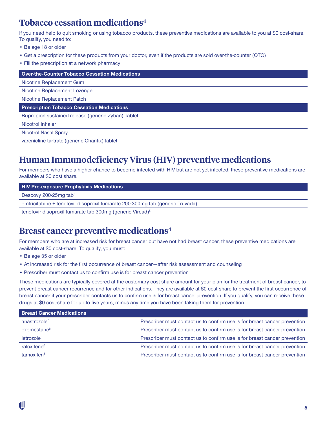#### **Tobacco cessation medications4**

If you need help to quit smoking or using tobacco products, these preventive medications are available to you at \$0 cost-share. To qualify, you need to:

- Be age 18 or older
- Get a prescription for these products from your doctor, even if the products are sold over-the-counter (OTC)
- Fill the prescription at a network pharmacy

**Over-the-Counter Tobacco Cessation Medications** 

Nicotine Replacement Gum

Nicotine Replacement Lozenge

Nicotine Replacement Patch

**Prescription Tobacco Cessation Medications** 

Bupropion sustained-release (generic Zyban) Tablet

Nicotrol Inhaler

Nicotrol Nasal Spray

varenicline tartrate (generic Chantix) tablet

#### **Human Immunodeficiency Virus (HIV) preventive medications**

For members who have a higher chance to become infected with HIV but are not yet infected, these preventive medications are available at \$0 cost share.

#### **HIV Pre-exposure Prophylaxis Medications**

Descovy 200-25mg tab<sup>5</sup>

emtricitabine + tenofovir disoproxil fumarate 200-300mg tab (generic Truvada)

tenofovir disoproxil fumarate tab 300mg (generic Viread)<sup>5</sup>

#### **Breast cancer preventive medications4**

For members who are at increased risk for breast cancer but have not had breast cancer, these preventive medications are available at \$0 cost-share. To qualify, you must:

- Be age 35 or older
- At increased risk for the first occurrence of breast cancer after risk assessment and counseling
- Prescriber must contact us to confirm use is for breast cancer prevention

These medications are typically covered at the customary cost-share amount for your plan for the treatment of breast cancer, to prevent breast cancer recurrence and for other indications. They are available at \$0 cost-share to prevent the first occurrence of breast cancer if your prescriber contacts us to confirm use is for breast cancer prevention. If you qualify, you can receive these drugs at \$0 cost-share for up to five years, minus any time you have been taking them for prevention.

| <b>Breast Cancer Medications</b> |                                                                           |
|----------------------------------|---------------------------------------------------------------------------|
| anastrozole <sup>6</sup>         | Prescriber must contact us to confirm use is for breast cancer prevention |
| exemestane <sup>6</sup>          | Prescriber must contact us to confirm use is for breast cancer prevention |
| letrozole <sup>6</sup>           | Prescriber must contact us to confirm use is for breast cancer prevention |
| raloxifene <sup>6</sup>          | Prescriber must contact us to confirm use is for breast cancer prevention |
| tamoxifen <sup>6</sup>           | Prescriber must contact us to confirm use is for breast cancer prevention |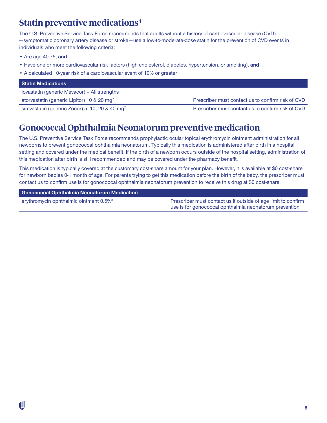### **Statin preventive medications4**

The U.S. Preventive Service Task Force recommends that adults without a history of cardiovascular disease (CVD) — symptomatic coronary artery disease or stroke — use a low-to-moderate-dose statin for the prevention of CVD events in individuals who meet the following criteria:

- Are age 40-75, **and**
- Have one or more cardiovascular risk factors (high cholesterol, diabetes, hypertension, or smoking), **and**
- A calculated 10-year risk of a cardiovascular event of 10% or greater

| <b>Statin Medications</b>                                  |                                                   |
|------------------------------------------------------------|---------------------------------------------------|
| lovastatin (generic Mevacor) - All strengths               |                                                   |
| atorvastatin (generic Lipitor) 10 & 20 mg <sup>7</sup>     | Prescriber must contact us to confirm risk of CVD |
| simvastatin (generic Zocor) 5, 10, 20 & 40 mg <sup>7</sup> | Prescriber must contact us to confirm risk of CVD |

### **Gonococcal Ophthalmia Neonatorum preventive medication**

The U.S. Preventive Service Task Force recommends prophylactic ocular topical erythromycin ointment administration for all newborns to prevent gonococcal ophthalmia neonatorum. Typically this medication is administered after birth in a hospital setting and covered under the medical benefit. If the birth of a newborn occurs outside of the hospital setting, administration of this medication after birth is still recommended and may be covered under the pharmacy benefit.

This medication is typically covered at the customary cost-share amount for your plan. However, it is available at \$0 cost-share for newborn babies 0-1 month of age. For parents trying to get this medication before the birth of the baby, the prescriber must contact us to confirm use is for gonococcal ophthalmia neonatorum prevention to receive this drug at \$0 cost-share.

#### **Gonococcal Ophthalmia Neonatorum Medication**

erythromycin ophthalmic ointment 0.5%<sup>8</sup> Prescriber must contact us if outside of age limit to confirm use is for gonococcal ophthalmia neonatorum prevention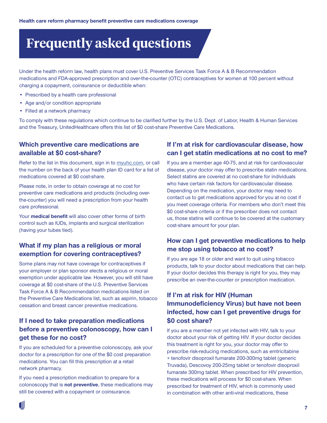## **Frequently asked questions**

Under the health reform law, health plans must cover U.S. Preventive Services Task Force A & B Recommendation medications and FDA-approved prescription and over-the-counter (OTC) contraceptives for women at 100 percent without charging a copayment, coinsurance or deductible when:

- Prescribed by a health care professional
- Age and/or condition appropriate
- Filled at a network pharmacy

To comply with these regulations which continue to be clarified further by the U.S. Dept. of Labor, Health & Human Services and the Treasury, UnitedHealthcare offers this list of \$0 cost-share Preventive Care Medications.

#### **Which preventive care medications are available at \$0 cost-share?**

Refer to the list in this document, sign in to [myuhc.com](http://myuhc.com), or call the number on the back of your health plan ID card for a list of medications covered at \$0 cost-share.

Please note, in order to obtain coverage at no cost for preventive care medications and products (including overthe-counter) you will need a prescription from your health care professional.

Your **medical benefit** will also cover other forms of birth control such as IUDs, implants and surgical sterilization (having your tubes tied).

#### **What if my plan has a religious or moral exemption for covering contraceptives?**

Some plans may not have coverage for contraceptives if your employer or plan sponsor elects a religious or moral exemption under applicable law. However, you will still have coverage at \$0 cost-share of the U.S. Preventive Services Task Force A & B Recommendation medications listed on the Preventive Care Medications list, such as aspirin, tobacco cessation and breast cancer preventive medications.

#### **If I need to take preparation medications before a preventive colonoscopy, how can I get these for no cost?**

If you are scheduled for a preventive colonoscopy, ask your doctor for a prescription for one of the \$0 cost preparation medications. You can fill this prescription at a retail network pharmacy.

If you need a prescription medication to prepare for a colonoscopy that is **not preventive**, these medications may still be covered with a copayment or coinsurance.

#### **If I'm at risk for cardiovascular disease, how can I get statin medications at no cost to me?**

If you are a member age 40-75, and at risk for cardiovascular disease, your doctor may offer to prescribe statin medications. Select statins are covered at no cost-share for individuals who have certain risk factors for cardiovascular disease. Depending on the medication, your doctor may need to contact us to get medications approved for you at no cost if you meet coverage criteria. For members who don't meet this \$0 cost-share criteria or if the prescriber does not contact us, those statins will continue to be covered at the customary cost-share amount for your plan.

#### **How can I get preventive medications to help me stop using tobacco at no cost?**

If you are age 18 or older and want to quit using tobacco products, talk to your doctor about medications that can help. If your doctor decides this therapy is right for you, they may prescribe an over-the-counter or prescription medication.

#### **If I'm at risk for HIV (Human Immunodeficiency Virus) but have not been infected, how can I get preventive drugs for \$0 cost share?**

If you are a member not yet infected with HIV, talk to your doctor about your risk of getting HIV. If your doctor decides this treatment is right for you, your doctor may offer to prescribe risk-reducing medications, such as emtricitabine + tenofovir disoproxil fumarate 200-300mg tablet (generic Truvada), Descovoy 200-25mg tablet or tenofovir disoproxil fumarate 300mg tablet. When prescribed for HIV prevention, these medications will process for \$0 cost-share. When prescribed for treatment of HIV, which is commonly used in combination with other anti-viral medications, these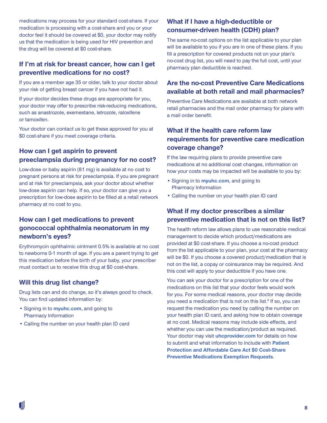medications may process for your standard cost-share. If your medication is processing with a cost-share and you or your doctor feel it should be covered at \$0, your doctor may notify us that the medication is being used for HIV prevention and the drug will be covered at \$0 cost-share.

#### **If I'm at risk for breast cancer, how can I get preventive medications for no cost?**

If you are a member age 35 or older, talk to your doctor about your risk of getting breast cancer if you have not had it.

If your doctor decides these drugs are appropriate for you, your doctor may offer to prescribe risk-reducing medications, such as anastrozole, exemestane, letrozole, raloxifene or tamoxifen.

Your doctor can contact us to get these approved for you at \$0 cost-share if you meet coverage criteria.

#### **How can I get aspirin to prevent preeclampsia during pregnancy for no cost?**

Low-dose or baby aspirin (81 mg) is available at no cost to pregnant persons at risk for preeclampsia. If you are pregnant and at risk for preeclampsia, ask your doctor about whether low-dose aspirin can help. If so, your doctor can give you a prescription for low-dose aspirin to be filled at a retail network pharmacy at no cost to you.

#### **How can I get medications to prevent gonococcal ophthalmia neonatorum in my newborn's eyes?**

Erythromycin ophthalmic ointment 0.5% is available at no cost to newborns 0-1 month of age. If you are a parent trying to get this medication before the birth of your baby, your prescriber must contact us to receive this drug at \$0 cost-share.

#### **Will this drug list change?**

Drug lists can and do change, so it's always good to check. You can find updated information by:

- Signing in to **[myuhc.com](https://www.myuhc.com)**, and going to Pharmacy Information
- Calling the number on your health plan ID card

#### **What if I have a high-deductible or consumer-driven health (CDH) plan?**

The same no-cost options on the list applicable to your plan will be available to you if you are in one of these plans. If you fill a prescription for covered products not on your plan's no-cost drug list, you will need to pay the full cost, until your pharmacy plan deductible is reached.

#### **Are the no-cost Preventive Care Medications available at both retail and mail pharmacies?**

Preventive Care Medications are available at both network retail pharmacies and the mail order pharmacy for plans with a mail order benefit.

#### **What if the health care reform law requirements for preventive care medication coverage change?**

If the law requiring plans to provide preventive care medications at no additional cost changes, information on how your costs may be impacted will be available to you by:

- Signing in to **[myuhc.com](https://www.myuhc.com)**, and going to Pharmacy Information
- Calling the number on your health plan ID card

#### **What if my doctor prescribes a similar preventive medication that is not on this list?**

The health reform law allows plans to use reasonable medical management to decide which product/medications are provided at \$0 cost-share. If you choose a no-cost product from the list applicable to your plan, your cost at the pharmacy will be \$0. If you choose a covered product/medication that is not on the list, a copay or coinsurance may be required. And this cost will apply to your deductible if you have one.

You can ask your doctor for a prescription for one of the medications on this list that your doctor feels would work for you. For some medical reasons, your doctor may decide you need a medication that is not on this list.<sup>9</sup> If so, you can request the medication you need by calling the number on your health plan ID card, and asking how to obtain coverage at no cost. Medical reasons may include side effects, and whether you can use the medication/product as required. Your doctor may visit **[uhcprovider.com](http://uhcprovider.com)** for details on how to submit and what information to include with **[Patient](https://www.uhcprovider.com/content/dam/provider/docs/public/resources/pharmacy/COMM-Patient-PACA-Zero-Cost-Share-Exemption-Request.pdf)  [Protection and Affordable Care Act \\$0 Cost-Share](https://www.uhcprovider.com/content/dam/provider/docs/public/resources/pharmacy/COMM-Patient-PACA-Zero-Cost-Share-Exemption-Request.pdf)  [Preventive Medications Exemption Requests](https://www.uhcprovider.com/content/dam/provider/docs/public/resources/pharmacy/COMM-Patient-PACA-Zero-Cost-Share-Exemption-Request.pdf)**.